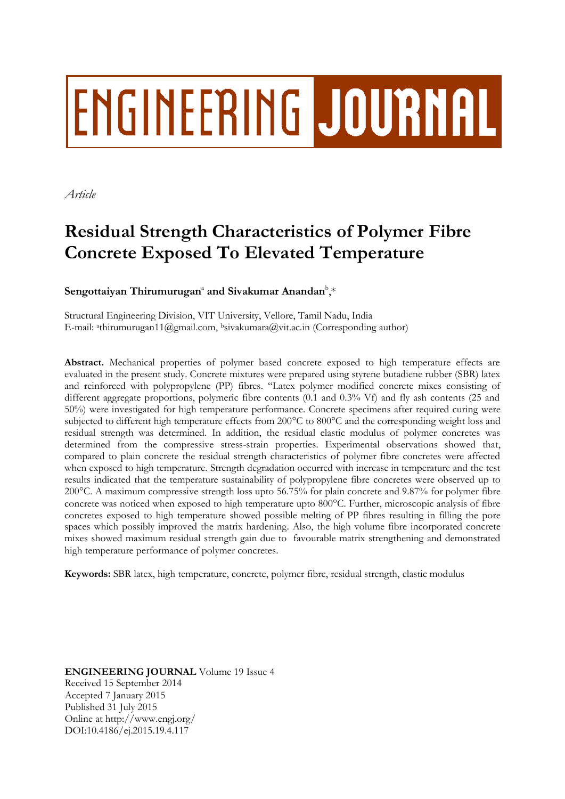# **ENGINEERING JOURNAL**

*Article*

# **Residual Strength Characteristics of Polymer Fibre Concrete Exposed To Elevated Temperature**

# $S$ engottaiyan Thirumurugan<sup>a</sup> and Sivakumar Anandan<sup>b</sup>,\*

Structural Engineering Division, VIT University, Vellore, Tamil Nadu, India E-mail: a thirumurugan11@gmail.com, <sup>b</sup>sivakumara@vit.ac.in (Corresponding author)

**Abstract.** Mechanical properties of polymer based concrete exposed to high temperature effects are evaluated in the present study. Concrete mixtures were prepared using styrene butadiene rubber (SBR) latex and reinforced with polypropylene (PP) fibres. "Latex polymer modified concrete mixes consisting of different aggregate proportions, polymeric fibre contents (0.1 and 0.3% Vf) and fly ash contents (25 and 50%) were investigated for high temperature performance. Concrete specimens after required curing were subjected to different high temperature effects from 200°C to 800°C and the corresponding weight loss and residual strength was determined. In addition, the residual elastic modulus of polymer concretes was determined from the compressive stress-strain properties. Experimental observations showed that, compared to plain concrete the residual strength characteristics of polymer fibre concretes were affected when exposed to high temperature. Strength degradation occurred with increase in temperature and the test results indicated that the temperature sustainability of polypropylene fibre concretes were observed up to 200°C. A maximum compressive strength loss upto 56.75% for plain concrete and 9.87% for polymer fibre concrete was noticed when exposed to high temperature upto 800°C. Further, microscopic analysis of fibre concretes exposed to high temperature showed possible melting of PP fibres resulting in filling the pore spaces which possibly improved the matrix hardening. Also, the high volume fibre incorporated concrete mixes showed maximum residual strength gain due to favourable matrix strengthening and demonstrated high temperature performance of polymer concretes.

**Keywords:** SBR latex, high temperature, concrete, polymer fibre, residual strength, elastic modulus

**ENGINEERING JOURNAL** Volume 19 Issue 4 Received 15 September 2014 Accepted 7 January 2015 Published 31 July 2015 Online at http://www.engj.org/ DOI:10.4186/ej.2015.19.4.117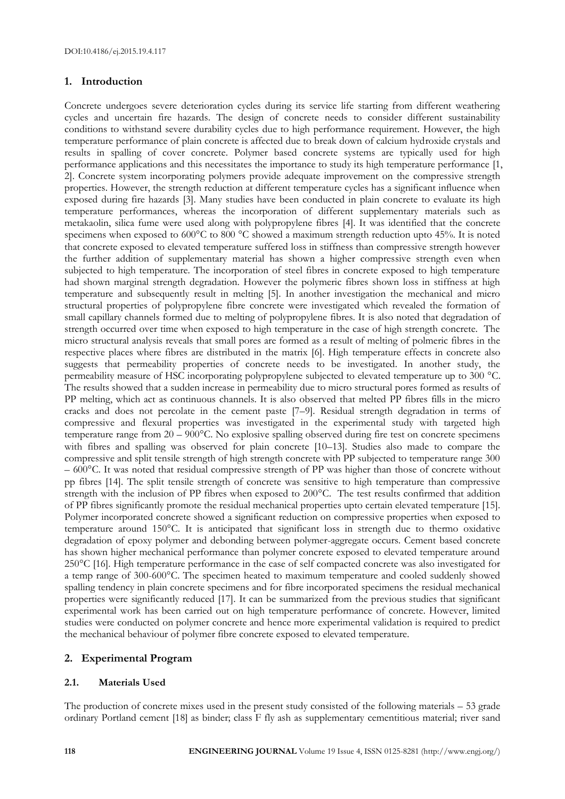# **1. Introduction**

Concrete undergoes severe deterioration cycles during its service life starting from different weathering cycles and uncertain fire hazards. The design of concrete needs to consider different sustainability conditions to withstand severe durability cycles due to high performance requirement. However, the high temperature performance of plain concrete is affected due to break down of calcium hydroxide crystals and results in spalling of cover concrete. Polymer based concrete systems are typically used for high performance applications and this necessitates the importance to study its high temperature performance [1, 2]. Concrete system incorporating polymers provide adequate improvement on the compressive strength properties. However, the strength reduction at different temperature cycles has a significant influence when exposed during fire hazards [3]. Many studies have been conducted in plain concrete to evaluate its high temperature performances, whereas the incorporation of different supplementary materials such as metakaolin, silica fume were used along with polypropylene fibres [4]. It was identified that the concrete specimens when exposed to 600°C to 800 °C showed a maximum strength reduction upto 45%. It is noted that concrete exposed to elevated temperature suffered loss in stiffness than compressive strength however the further addition of supplementary material has shown a higher compressive strength even when subjected to high temperature. The incorporation of steel fibres in concrete exposed to high temperature had shown marginal strength degradation. However the polymeric fibres shown loss in stiffness at high temperature and subsequently result in melting [5]. In another investigation the mechanical and micro structural properties of polypropylene fibre concrete were investigated which revealed the formation of small capillary channels formed due to melting of polypropylene fibres. It is also noted that degradation of strength occurred over time when exposed to high temperature in the case of high strength concrete. The micro structural analysis reveals that small pores are formed as a result of melting of polmeric fibres in the respective places where fibres are distributed in the matrix [6]. High temperature effects in concrete also suggests that permeability properties of concrete needs to be investigated. In another study, the permeability measure of HSC incorporating polypropylene subjected to elevated temperature up to 300 °C. The results showed that a sudden increase in permeability due to micro structural pores formed as results of PP melting, which act as continuous channels. It is also observed that melted PP fibres fills in the micro cracks and does not percolate in the cement paste [7–9]. Residual strength degradation in terms of compressive and flexural properties was investigated in the experimental study with targeted high temperature range from 20 – 900°C. No explosive spalling observed during fire test on concrete specimens with fibres and spalling was observed for plain concrete [10–13]. Studies also made to compare the compressive and split tensile strength of high strength concrete with PP subjected to temperature range 300 – 600°C. It was noted that residual compressive strength of PP was higher than those of concrete without pp fibres [14]. The split tensile strength of concrete was sensitive to high temperature than compressive strength with the inclusion of PP fibres when exposed to 200°C. The test results confirmed that addition of PP fibres significantly promote the residual mechanical properties upto certain elevated temperature [15]. Polymer incorporated concrete showed a significant reduction on compressive properties when exposed to temperature around 150°C. It is anticipated that significant loss in strength due to thermo oxidative degradation of epoxy polymer and debonding between polymer-aggregate occurs. Cement based concrete has shown higher mechanical performance than polymer concrete exposed to elevated temperature around 250°C [16]. High temperature performance in the case of self compacted concrete was also investigated for a temp range of 300-600°C. The specimen heated to maximum temperature and cooled suddenly showed spalling tendency in plain concrete specimens and for fibre incorporated specimens the residual mechanical properties were significantly reduced [17]. It can be summarized from the previous studies that significant experimental work has been carried out on high temperature performance of concrete. However, limited studies were conducted on polymer concrete and hence more experimental validation is required to predict the mechanical behaviour of polymer fibre concrete exposed to elevated temperature.

# **2. Experimental Program**

#### **2.1. Materials Used**

The production of concrete mixes used in the present study consisted of the following materials – 53 grade ordinary Portland cement [18] as binder; class F fly ash as supplementary cementitious material; river sand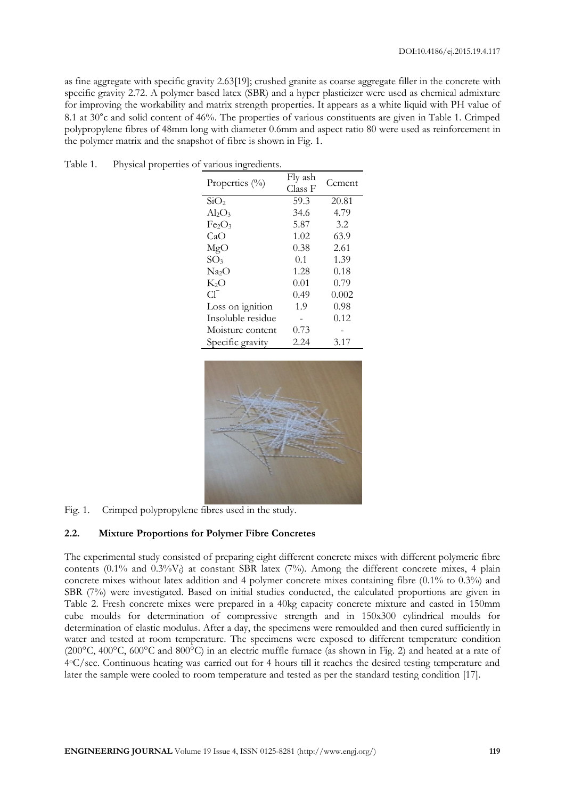as fine aggregate with specific gravity 2.63[19]; crushed granite as coarse aggregate filler in the concrete with specific gravity 2.72. A polymer based latex (SBR) and a hyper plasticizer were used as chemical admixture for improving the workability and matrix strength properties. It appears as a white liquid with PH value of 8.1 at 30°c and solid content of 46%. The properties of various constituents are given in Table 1. Crimped polypropylene fibres of 48mm long with diameter 0.6mm and aspect ratio 80 were used as reinforcement in the polymer matrix and the snapshot of fibre is shown in Fig. 1.

| ⌒                 |                    |        |
|-------------------|--------------------|--------|
| Properties $(\%)$ | Fly ash<br>Class F | Cement |
| SiO <sub>2</sub>  | 59.3               | 20.81  |
| $Al_2O_3$         | 34.6               | 4.79   |
|                   |                    |        |
| Fe2O3             | 5.87               | 3.2    |
| CaO               | 1.02               | 63.9   |
| MgO               | 0.38               | 2.61   |
| SO <sub>3</sub>   | 0.1                | 1.39   |
| Na <sub>2</sub> O | 1.28               | 0.18   |
| $\rm K_2O$        | 0.01               | 0.79   |
| C1.               | 0.49               | 0.002  |
| Loss on ignition  | 1.9                | 0.98   |
| Insoluble residue |                    | 0.12   |
| Moisture content  | 0.73               |        |
| Specific gravity  | 2.24               | 3.17   |

Table 1. Physical properties of various ingredients.



Fig. 1. Crimped polypropylene fibres used in the study.

#### **2.2. Mixture Proportions for Polymer Fibre Concretes**

The experimental study consisted of preparing eight different concrete mixes with different polymeric fibre contents (0.1% and 0.3% $V_f$ ) at constant SBR latex (7%). Among the different concrete mixes, 4 plain concrete mixes without latex addition and 4 polymer concrete mixes containing fibre (0.1% to 0.3%) and SBR (7%) were investigated. Based on initial studies conducted, the calculated proportions are given in Table 2. Fresh concrete mixes were prepared in a 40kg capacity concrete mixture and casted in 150mm cube moulds for determination of compressive strength and in 150x300 cylindrical moulds for determination of elastic modulus. After a day, the specimens were remoulded and then cured sufficiently in water and tested at room temperature. The specimens were exposed to different temperature condition (200 $^{\circ}$ C, 400 $^{\circ}$ C, 600 $^{\circ}$ C and 800 $^{\circ}$ C) in an electric muffle furnace (as shown in Fig. 2) and heated at a rate of 4 <sup>o</sup>C/sec. Continuous heating was carried out for 4 hours till it reaches the desired testing temperature and later the sample were cooled to room temperature and tested as per the standard testing condition [17].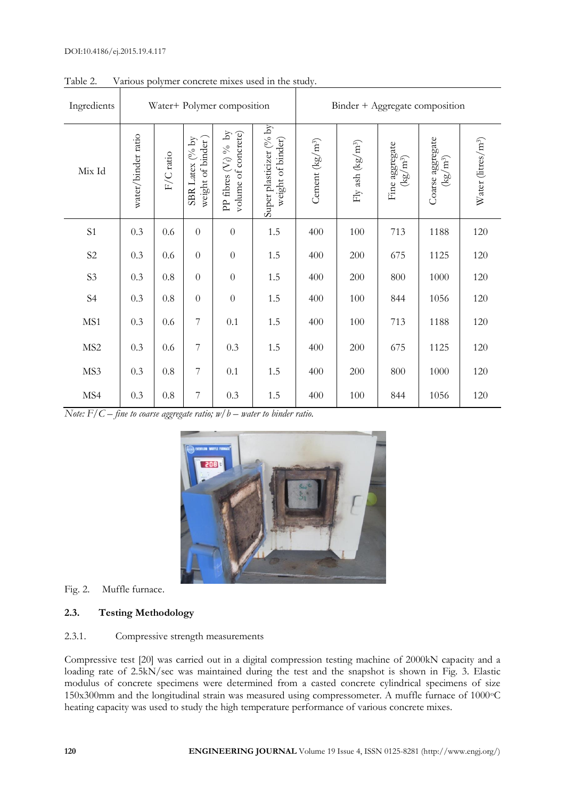| Ingredients     |                    |           |                                                       | Water+ Polymer composition                       |                                              |                   |                              | Binder + Aggregate composition                         |                                                 |                                |
|-----------------|--------------------|-----------|-------------------------------------------------------|--------------------------------------------------|----------------------------------------------|-------------------|------------------------------|--------------------------------------------------------|-------------------------------------------------|--------------------------------|
| Mix Id          | water/binder ratio | F/C ratio | $(^o\!/_0$ by<br>weight of binder<br><b>SBR</b> Latex | $(V_f)$ % by<br>volume of concrete)<br>PP fibres | Super plasticizer (% by<br>weight of binder) | Cement $(kg/m^3)$ | Fly ash (kg/m <sup>3</sup> ) | Fine aggregate $\left(\mathrm{kg}/\mathrm{m}^3\right)$ | Coarse aggregate<br>$\left({\rm kg/m^3}\right)$ | Water (litres/m <sup>3</sup> ) |
| S1              | 0.3                | 0.6       | $\overline{0}$                                        | $\overline{0}$                                   | 1.5                                          | 400               | 100                          | 713                                                    | 1188                                            | 120                            |
| S <sub>2</sub>  | 0.3                | 0.6       | $\overline{0}$                                        | $\overline{0}$                                   | 1.5                                          | 400               | 200                          | 675                                                    | 1125                                            | 120                            |
| S <sub>3</sub>  | 0.3                | $0.8\,$   | $\overline{0}$                                        | $\overline{0}$                                   | 1.5                                          | 400               | 200                          | 800                                                    | 1000                                            | 120                            |
| S <sub>4</sub>  | 0.3                | $0.8\,$   | $\overline{0}$                                        | $\theta$                                         | 1.5                                          | 400               | 100                          | 844                                                    | 1056                                            | 120                            |
| MS1             | 0.3                | 0.6       | $\overline{7}$                                        | 0.1                                              | 1.5                                          | 400               | 100                          | 713                                                    | 1188                                            | 120                            |
| MS <sub>2</sub> | 0.3                | 0.6       | $\overline{7}$                                        | 0.3                                              | 1.5                                          | 400               | 200                          | 675                                                    | 1125                                            | 120                            |
| MS3             | 0.3                | $0.8\,$   | 7                                                     | $0.1\,$                                          | 1.5                                          | 400               | 200                          | 800                                                    | 1000                                            | 120                            |
| MS4             | 0.3                | $0.8\,$   | $\boldsymbol{7}$                                      | 0.3                                              | 1.5                                          | 400               | 100                          | 844                                                    | 1056                                            | 120                            |

Table 2. Various polymer concrete mixes used in the study.

*Note:*  $\overline{F}/C$  – *fine to coarse aggregate ratio;*  $w/b$  – *water to binder ratio.* 



# Fig. 2. Muffle furnace.

# **2.3. Testing Methodology**

# 2.3.1. Compressive strength measurements

Compressive test [20] was carried out in a digital compression testing machine of 2000kN capacity and a loading rate of 2.5kN/sec was maintained during the test and the snapshot is shown in Fig. 3. Elastic modulus of concrete specimens were determined from a casted concrete cylindrical specimens of size 150x300mm and the longitudinal strain was measured using compressometer. A muffle furnace of 1000°C heating capacity was used to study the high temperature performance of various concrete mixes.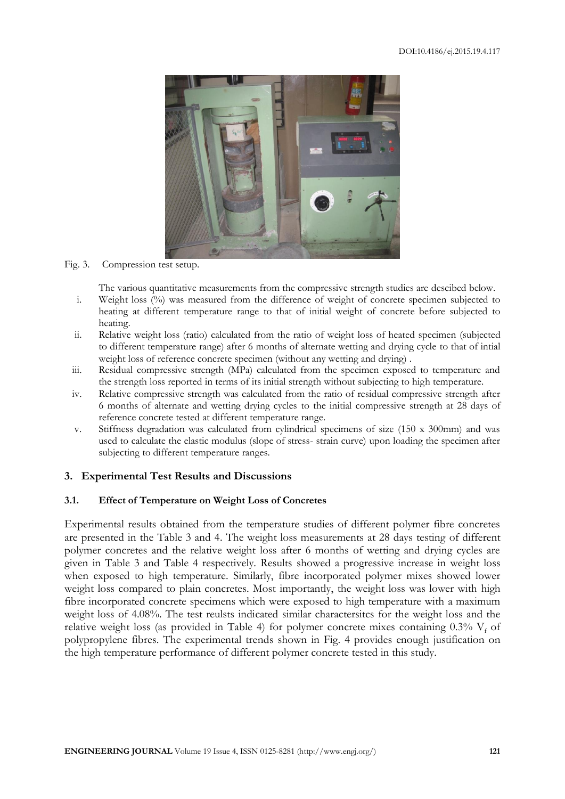

#### Fig. 3. Compression test setup.

The various quantitative measurements from the compressive strength studies are descibed below.

- i. Weight loss (%) was measured from the difference of weight of concrete specimen subjected to heating at different temperature range to that of initial weight of concrete before subjected to heating.
- ii. Relative weight loss (ratio) calculated from the ratio of weight loss of heated specimen (subjected to different temperature range) after 6 months of alternate wetting and drying cycle to that of intial weight loss of reference concrete specimen (without any wetting and drying) .
- iii. Residual compressive strength (MPa) calculated from the specimen exposed to temperature and the strength loss reported in terms of its initial strength without subjecting to high temperature.
- iv. Relative compressive strength was calculated from the ratio of residual compressive strength after 6 months of alternate and wetting drying cycles to the initial compressive strength at 28 days of reference concrete tested at different temperature range.
- v. Stiffness degradation was calculated from cylindrical specimens of size (150 x 300mm) and was used to calculate the elastic modulus (slope of stress- strain curve) upon loading the specimen after subjecting to different temperature ranges.

# **3. Experimental Test Results and Discussions**

#### **3.1. Effect of Temperature on Weight Loss of Concretes**

Experimental results obtained from the temperature studies of different polymer fibre concretes are presented in the Table 3 and 4. The weight loss measurements at 28 days testing of different polymer concretes and the relative weight loss after 6 months of wetting and drying cycles are given in Table 3 and Table 4 respectively. Results showed a progressive increase in weight loss when exposed to high temperature. Similarly, fibre incorporated polymer mixes showed lower weight loss compared to plain concretes. Most importantly, the weight loss was lower with high fibre incorporated concrete specimens which were exposed to high temperature with a maximum weight loss of 4.08%. The test reulsts indicated similar charactersitcs for the weight loss and the relative weight loss (as provided in Table 4) for polymer concrete mixes containing  $0.3\%$  V<sub>f</sub> of polypropylene fibres. The experimental trends shown in Fig. 4 provides enough justification on the high temperature performance of different polymer concrete tested in this study.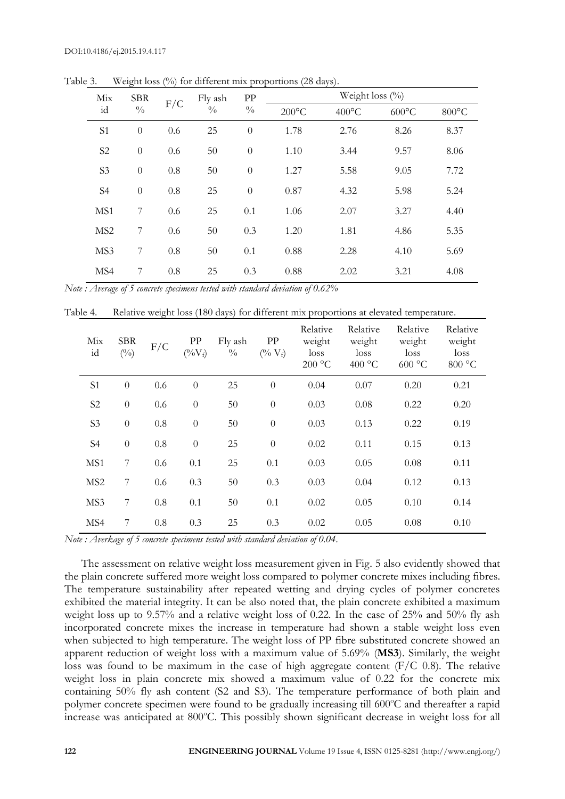|                 | $\circ$       |     |               |               |                 |                    |                 |                 |
|-----------------|---------------|-----|---------------|---------------|-----------------|--------------------|-----------------|-----------------|
| Mix             | <b>SBR</b>    | F/C | Fly ash       | PP            |                 | Weight loss $(\%)$ |                 |                 |
| id              | $\frac{0}{0}$ |     | $\frac{0}{0}$ | $\frac{0}{0}$ | $200^{\circ}$ C | $400^{\circ}$ C    | $600^{\circ}$ C | $800^{\circ}$ C |
| S <sub>1</sub>  | $\theta$      | 0.6 | 25            | $\theta$      | 1.78            | 2.76               | 8.26            | 8.37            |
| S <sub>2</sub>  | $\theta$      | 0.6 | 50            | $\theta$      | 1.10            | 3.44               | 9.57            | 8.06            |
| S <sub>3</sub>  | $\theta$      | 0.8 | 50            | $\theta$      | 1.27            | 5.58               | 9.05            | 7.72            |
| S <sub>4</sub>  | $\theta$      | 0.8 | 25            | $\theta$      | 0.87            | 4.32               | 5.98            | 5.24            |
| MS1             | 7             | 0.6 | 25            | 0.1           | 1.06            | 2.07               | 3.27            | 4.40            |
| MS <sub>2</sub> | 7             | 0.6 | 50            | 0.3           | 1.20            | 1.81               | 4.86            | 5.35            |
| MS3             | 7             | 0.8 | 50            | 0.1           | 0.88            | 2.28               | 4.10            | 5.69            |
| MS4             | 7             | 0.8 | 25            | 0.3           | 0.88            | 2.02               | 3.21            | 4.08            |
|                 |               |     |               |               |                 |                    |                 |                 |

Table 3. Weight loss (%) for different mix proportions (28 days).

*Note : Average of 5 concrete specimens tested with standard deviation of 0.62%*

| Table 4. | Relative weight loss (180 days) for different mix proportions at elevated temperature. |  |  |  |  |  |  |  |  |
|----------|----------------------------------------------------------------------------------------|--|--|--|--|--|--|--|--|
|----------|----------------------------------------------------------------------------------------|--|--|--|--|--|--|--|--|

| Mix<br>id       | <b>SBR</b><br>$(^{0}_{0})$ | F/C | PP<br>$(^{0}/_{0}V_{f})$ | Fly ash<br>$\frac{0}{0}$ | PP<br>$(^{0}/_{0}V_{f})$ | Relative<br>weight<br>loss<br>200 °C | Relative<br>weight<br>loss<br>400 °C | Relative<br>weight<br>loss<br>600 °C | Relative<br>weight<br>loss<br>800 °C |
|-----------------|----------------------------|-----|--------------------------|--------------------------|--------------------------|--------------------------------------|--------------------------------------|--------------------------------------|--------------------------------------|
| S <sub>1</sub>  | $\theta$                   | 0.6 | $\theta$                 | 25                       | $\boldsymbol{0}$         | 0.04                                 | 0.07                                 | 0.20                                 | 0.21                                 |
| S <sub>2</sub>  | $\theta$                   | 0.6 | $\theta$                 | 50                       | $\theta$                 | 0.03                                 | 0.08                                 | 0.22                                 | 0.20                                 |
| S <sub>3</sub>  | $\overline{0}$             | 0.8 | $\theta$                 | 50                       | $\theta$                 | 0.03                                 | 0.13                                 | 0.22                                 | 0.19                                 |
| S4              | $\theta$                   | 0.8 | $\theta$                 | 25                       | $\boldsymbol{0}$         | 0.02                                 | 0.11                                 | 0.15                                 | 0.13                                 |
| MS1             | $\overline{7}$             | 0.6 | 0.1                      | 25                       | 0.1                      | 0.03                                 | 0.05                                 | 0.08                                 | 0.11                                 |
| MS <sub>2</sub> | $\overline{7}$             | 0.6 | 0.3                      | 50                       | 0.3                      | 0.03                                 | 0.04                                 | 0.12                                 | 0.13                                 |
| MS3             | 7                          | 0.8 | 0.1                      | 50                       | 0.1                      | 0.02                                 | 0.05                                 | 0.10                                 | 0.14                                 |
| MS4             | 7                          | 0.8 | 0.3                      | 25                       | 0.3                      | 0.02                                 | 0.05                                 | 0.08                                 | 0.10                                 |

*Note : Averkage of 5 concrete specimens tested with standard deviation of 0.04.*

The assessment on relative weight loss measurement given in Fig. 5 also evidently showed that the plain concrete suffered more weight loss compared to polymer concrete mixes including fibres. The temperature sustainability after repeated wetting and drying cycles of polymer concretes exhibited the material integrity. It can be also noted that, the plain concrete exhibited a maximum weight loss up to 9.57% and a relative weight loss of 0.22. In the case of 25% and 50% fly ash incorporated concrete mixes the increase in temperature had shown a stable weight loss even when subjected to high temperature. The weight loss of PP fibre substituted concrete showed an apparent reduction of weight loss with a maximum value of 5.69% (**MS3**). Similarly, the weight loss was found to be maximum in the case of high aggregate content (F/C 0.8). The relative weight loss in plain concrete mix showed a maximum value of 0.22 for the concrete mix containing 50% fly ash content (S2 and S3). The temperature performance of both plain and polymer concrete specimen were found to be gradually increasing till 600°C and thereafter a rapid increase was anticipated at 800°C. This possibly shown significant decrease in weight loss for all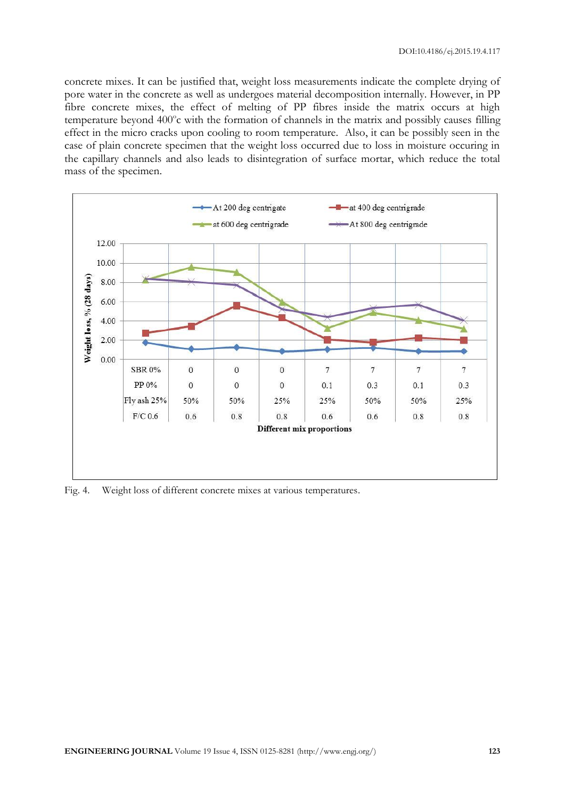concrete mixes. It can be justified that, weight loss measurements indicate the complete drying of pore water in the concrete as well as undergoes material decomposition internally. However, in PP fibre concrete mixes, the effect of melting of PP fibres inside the matrix occurs at high temperature beyond 400°c with the formation of channels in the matrix and possibly causes filling effect in the micro cracks upon cooling to room temperature. Also, it can be possibly seen in the case of plain concrete specimen that the weight loss occurred due to loss in moisture occuring in the capillary channels and also leads to disintegration of surface mortar, which reduce the total mass of the specimen.



Fig. 4. Weight loss of different concrete mixes at various temperatures.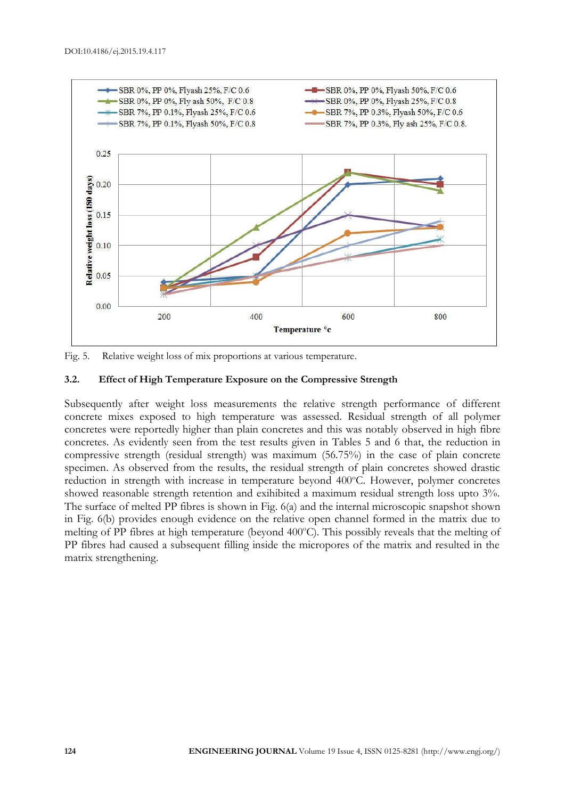

Fig. 5. Relative weight loss of mix proportions at various temperature.

# **3.2. Effect of High Temperature Exposure on the Compressive Strength**

Subsequently after weight loss measurements the relative strength performance of different concrete mixes exposed to high temperature was assessed. Residual strength of all polymer concretes were reportedly higher than plain concretes and this was notably observed in high fibre concretes. As evidently seen from the test results given in Tables 5 and 6 that, the reduction in compressive strength (residual strength) was maximum (56.75%) in the case of plain concrete specimen. As observed from the results, the residual strength of plain concretes showed drastic reduction in strength with increase in temperature beyond 400°C. However, polymer concretes showed reasonable strength retention and exihibited a maximum residual strength loss upto 3%. The surface of melted PP fibres is shown in Fig. 6(a) and the internal microscopic snapshot shown in Fig. 6(b) provides enough evidence on the relative open channel formed in the matrix due to melting of PP fibres at high temperature (beyond 400°C). This possibly reveals that the melting of PP fibres had caused a subsequent filling inside the micropores of the matrix and resulted in the matrix strengthening.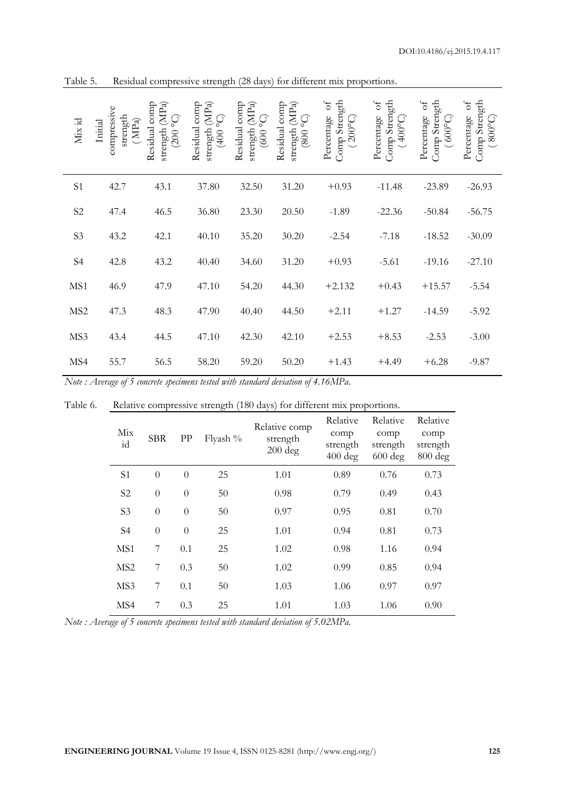| Mix id          | compressive<br>strength<br>(MPa)<br>Initial | Residual comp<br>strength $(MPa)$<br>(200 °C) | Residual comp<br>(MPa)<br>ပ္ခဲ<br>strength<br>(400) | Residual comp<br>(MPa)<br>(5000)<br>strength | Residual comp<br>(MPa)<br>$\left(50\ 008\right)$<br>strength | Comp Strength<br>Percentage of<br>$(200^{\circ}C)$ | Comp Strength<br>$\rm ^{of}$<br>Percentage<br>$(400^{\circ}C)$ | Comp Strength<br>Percentage of<br>$(600^{\circ}C)$ | Comp Strength<br>$\delta$<br>Percentage<br>$(300^{\circ}C)$ |
|-----------------|---------------------------------------------|-----------------------------------------------|-----------------------------------------------------|----------------------------------------------|--------------------------------------------------------------|----------------------------------------------------|----------------------------------------------------------------|----------------------------------------------------|-------------------------------------------------------------|
| S1              | 42.7                                        | 43.1                                          | 37.80                                               | 32.50                                        | 31.20                                                        | $+0.93$                                            | $-11.48$                                                       | $-23.89$                                           | $-26.93$                                                    |
| $\mathbf{S2}$   | 47.4                                        | 46.5                                          | 36.80                                               | 23.30                                        | 20.50                                                        | $-1.89$                                            | $-22.36$                                                       | $-50.84$                                           | $-56.75$                                                    |
| S <sub>3</sub>  | 43.2                                        | 42.1                                          | 40.10                                               | 35.20                                        | 30.20                                                        | $-2.54$                                            | $-7.18$                                                        | $-18.52$                                           | $-30.09$                                                    |
| S <sub>4</sub>  | 42.8                                        | 43.2                                          | 40.40                                               | 34.60                                        | 31.20                                                        | $+0.93$                                            | $-5.61$                                                        | $-19.16$                                           | $-27.10$                                                    |
| MS1             | 46.9                                        | 47.9                                          | 47.10                                               | 54.20                                        | 44.30                                                        | $+2.132$                                           | $+0.43$                                                        | $+15.57$                                           | $-5.54$                                                     |
| MS <sub>2</sub> | 47.3                                        | 48.3                                          | 47.90                                               | 40.40                                        | 44.50                                                        | $+2.11$                                            | $+1.27$                                                        | $-14.59$                                           | $-5.92$                                                     |
| MS3             | 43.4                                        | 44.5                                          | 47.10                                               | 42.30                                        | 42.10                                                        | $+2.53$                                            | $+8.53$                                                        | $-2.53$                                            | $-3.00$                                                     |
| MS4             | 55.7                                        | 56.5                                          | 58.20                                               | 59.20                                        | 50.20                                                        | $+1.43$                                            | $+4.49$                                                        | $+6.28$                                            | $-9.87$                                                     |

Table 5. Residual compressive strength (28 days) for different mix proportions.

*Note : Average of 5 concrete specimens tested with standard deviation of 4.16MPa.*

| Mix<br>id       | <b>SBR</b>     | PP       | Flyash % | Relative comp<br>strength<br>$200$ deg | Relative<br>comp<br>strength<br>$400$ deg | Relative<br>comp<br>strength<br>$600 \text{ deg}$ | Relative<br>comp<br>strength<br>800 deg |
|-----------------|----------------|----------|----------|----------------------------------------|-------------------------------------------|---------------------------------------------------|-----------------------------------------|
| S <sub>1</sub>  | $\overline{0}$ | $\theta$ | 25       | 1.01                                   | 0.89                                      | 0.76                                              | 0.73                                    |
| S <sub>2</sub>  | $\overline{0}$ | $\theta$ | 50       | 0.98                                   | 0.79                                      | 0.49                                              | 0.43                                    |
| S <sub>3</sub>  | $\overline{0}$ | $\theta$ | 50       | 0.97                                   | 0.95                                      | 0.81                                              | 0.70                                    |
| S <sub>4</sub>  | $\overline{0}$ | $\theta$ | 25       | 1.01                                   | 0.94                                      | 0.81                                              | 0.73                                    |
| MS1             | 7              | 0.1      | 25       | 1.02                                   | 0.98                                      | 1.16                                              | 0.94                                    |
| MS <sub>2</sub> | 7              | 0.3      | 50       | 1.02                                   | 0.99                                      | 0.85                                              | 0.94                                    |
| MS3             | 7              | 0.1      | 50       | 1.03                                   | 1.06                                      | 0.97                                              | 0.97                                    |
| MS4             | 7              | 0.3      | 25       | 1.01                                   | 1.03                                      | 1.06                                              | 0.90                                    |

Table 6. Relative compressive strength (180 days) for different mix proportions.

*Note : Average of 5 concrete specimens tested with standard deviation of 5.02MPa.*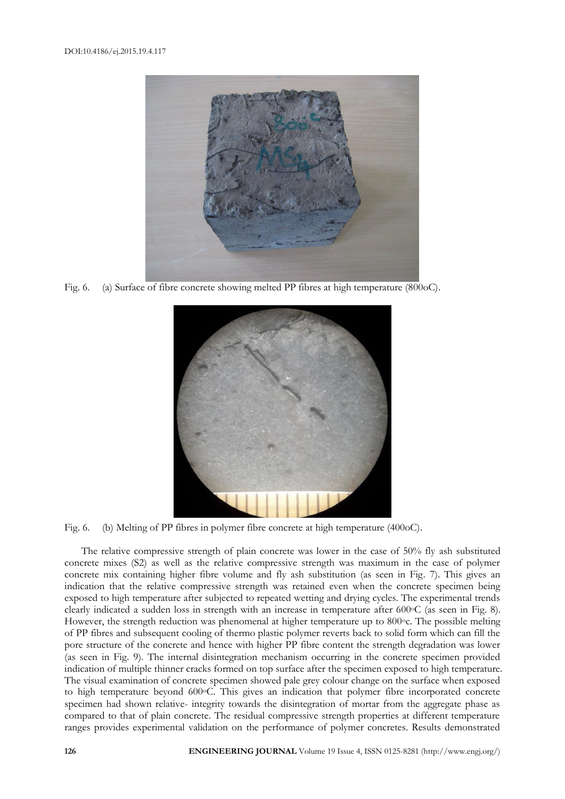

Fig. 6. (a) Surface of fibre concrete showing melted PP fibres at high temperature (800oC).



Fig. 6. (b) Melting of PP fibres in polymer fibre concrete at high temperature (400oC).

The relative compressive strength of plain concrete was lower in the case of 50% fly ash substituted concrete mixes (S2) as well as the relative compressive strength was maximum in the case of polymer concrete mix containing higher fibre volume and fly ash substitution (as seen in Fig. 7). This gives an indication that the relative compressive strength was retained even when the concrete specimen being exposed to high temperature after subjected to repeated wetting and drying cycles. The experimental trends clearly indicated a sudden loss in strength with an increase in temperature after 600oC (as seen in Fig. 8). However, the strength reduction was phenomenal at higher temperature up to 800 °c. The possible melting of PP fibres and subsequent cooling of thermo plastic polymer reverts back to solid form which can fill the pore structure of the concrete and hence with higher PP fibre content the strength degradation was lower (as seen in Fig. 9). The internal disintegration mechanism occurring in the concrete specimen provided indication of multiple thinner cracks formed on top surface after the specimen exposed to high temperature. The visual examination of concrete specimen showed pale grey colour change on the surface when exposed to high temperature beyond 600°C. This gives an indication that polymer fibre incorporated concrete specimen had shown relative- integrity towards the disintegration of mortar from the aggregate phase as compared to that of plain concrete. The residual compressive strength properties at different temperature ranges provides experimental validation on the performance of polymer concretes. Results demonstrated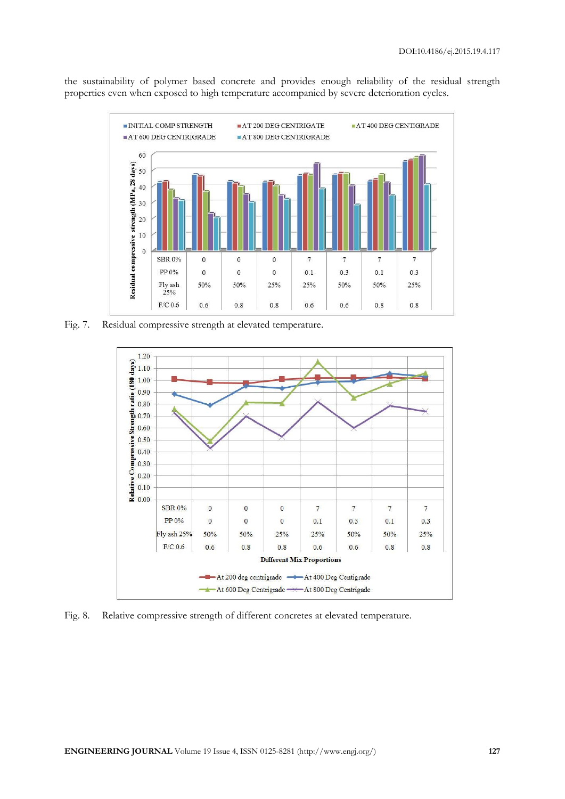the sustainability of polymer based concrete and provides enough reliability of the residual strength properties even when exposed to high temperature accompanied by severe deterioration cycles.



Fig. 7. Residual compressive strength at elevated temperature.



Fig. 8. Relative compressive strength of different concretes at elevated temperature.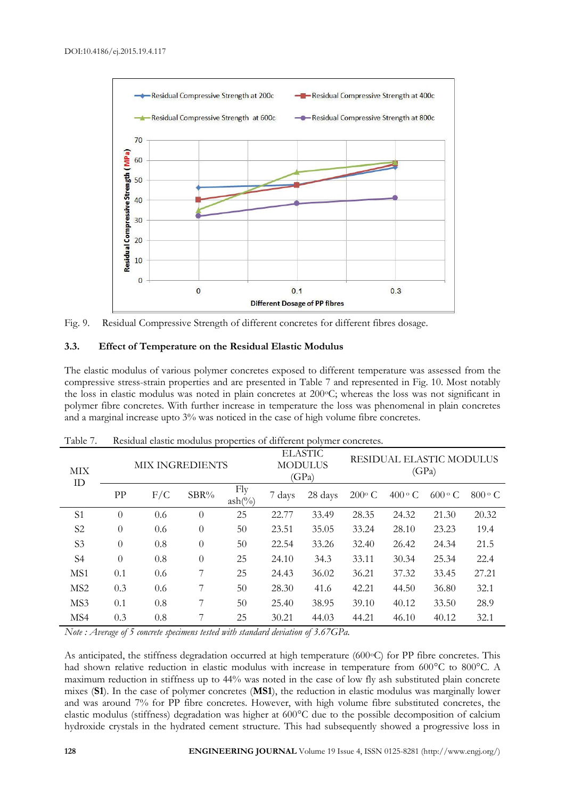

Fig. 9. Residual Compressive Strength of different concretes for different fibres dosage.

#### **3.3. Effect of Temperature on the Residual Elastic Modulus**

The elastic modulus of various polymer concretes exposed to different temperature was assessed from the compressive stress-strain properties and are presented in Table 7 and represented in Fig. 10. Most notably the loss in elastic modulus was noted in plain concretes at 200°C; whereas the loss was not significant in polymer fibre concretes. With further increase in temperature the loss was phenomenal in plain concretes and a marginal increase upto 3% was noticed in the case of high volume fibre concretes.

| MIX<br>ID       |          | <b>MIX INGREDIENTS</b> |          |                           |        | <b>ELASTIC</b><br><b>MODULUS</b><br>(GPa) | RESIDUAL ELASTIC MODULUS<br>(GPa) |               |               |               |
|-----------------|----------|------------------------|----------|---------------------------|--------|-------------------------------------------|-----------------------------------|---------------|---------------|---------------|
|                 | PP       | F/C                    | SBR%     | Fly<br>$ash(\frac{0}{0})$ | 7 days | 28 days                                   | $200^{\circ}$ C                   | $400 \circ C$ | $600 \circ C$ | $800 \circ C$ |
| S <sub>1</sub>  | $\theta$ | 0.6                    | $\theta$ | 25                        | 22.77  | 33.49                                     | 28.35                             | 24.32         | 21.30         | 20.32         |
| S <sub>2</sub>  | $\theta$ | 0.6                    | $\theta$ | 50                        | 23.51  | 35.05                                     | 33.24                             | 28.10         | 23.23         | 19.4          |
| S <sub>3</sub>  | $\theta$ | 0.8                    | $\theta$ | 50                        | 22.54  | 33.26                                     | 32.40                             | 26.42         | 24.34         | 21.5          |
| S4              | $\theta$ | 0.8                    | $\theta$ | 25                        | 24.10  | 34.3                                      | 33.11                             | 30.34         | 25.34         | 22.4          |
| MS1             | 0.1      | 0.6                    | 7        | 25                        | 24.43  | 36.02                                     | 36.21                             | 37.32         | 33.45         | 27.21         |
| MS <sub>2</sub> | 0.3      | 0.6                    | 7        | 50                        | 28.30  | 41.6                                      | 42.21                             | 44.50         | 36.80         | 32.1          |
| MS3             | 0.1      | 0.8                    | 7        | 50                        | 25.40  | 38.95                                     | 39.10                             | 40.12         | 33.50         | 28.9          |
| MS4             | 0.3      | 0.8                    | 7        | 25                        | 30.21  | 44.03                                     | 44.21                             | 46.10         | 40.12         | 32.1          |

Table 7. Residual elastic modulus properties of different polymer concretes.

*Note : Average of 5 concrete specimens tested with standard deviation of 3.67GPa.*

As anticipated, the stiffness degradation occurred at high temperature (600°C) for PP fibre concretes. This had shown relative reduction in elastic modulus with increase in temperature from 600°C to 800°C. A maximum reduction in stiffness up to 44% was noted in the case of low fly ash substituted plain concrete mixes (**S1**). In the case of polymer concretes (**MS1**), the reduction in elastic modulus was marginally lower and was around 7% for PP fibre concretes. However, with high volume fibre substituted concretes, the elastic modulus (stiffness) degradation was higher at 600°C due to the possible decomposition of calcium hydroxide crystals in the hydrated cement structure. This had subsequently showed a progressive loss in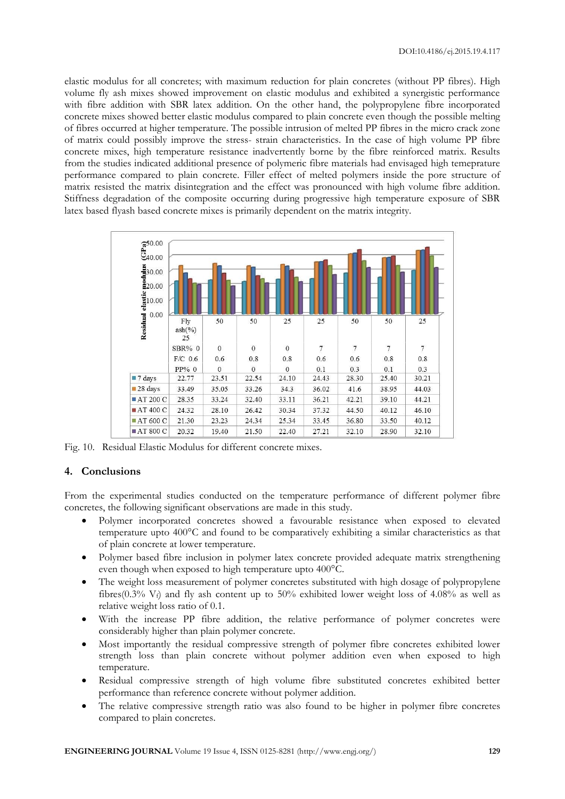elastic modulus for all concretes; with maximum reduction for plain concretes (without PP fibres). High volume fly ash mixes showed improvement on elastic modulus and exhibited a synergistic performance with fibre addition with SBR latex addition. On the other hand, the polypropylene fibre incorporated concrete mixes showed better elastic modulus compared to plain concrete even though the possible melting of fibres occurred at higher temperature. The possible intrusion of melted PP fibres in the micro crack zone of matrix could possibly improve the stress- strain characteristics. In the case of high volume PP fibre concrete mixes, high temperature resistance inadvertently borne by the fibre reinforced matrix. Results from the studies indicated additional presence of polymeric fibre materials had envisaged high temeprature performance compared to plain concrete. Filler effect of melted polymers inside the pore structure of matrix resisted the matrix disintegration and the effect was pronounced with high volume fibre addition. Stiffness degradation of the composite occurring during progressive high temperature exposure of SBR latex based flyash based concrete mixes is primarily dependent on the matrix integrity.



Fig. 10. Residual Elastic Modulus for different concrete mixes.

# **4. Conclusions**

From the experimental studies conducted on the temperature performance of different polymer fibre concretes, the following significant observations are made in this study.

- Polymer incorporated concretes showed a favourable resistance when exposed to elevated temperature upto 400°C and found to be comparatively exhibiting a similar characteristics as that of plain concrete at lower temperature.
- Polymer based fibre inclusion in polymer latex concrete provided adequate matrix strengthening even though when exposed to high temperature upto 400°C.
- The weight loss measurement of polymer concretes substituted with high dosage of polypropylene fibres(0.3% V<sub>f</sub>) and fly ash content up to 50% exhibited lower weight loss of 4.08% as well as relative weight loss ratio of 0.1.
- With the increase PP fibre addition, the relative performance of polymer concretes were considerably higher than plain polymer concrete.
- Most importantly the residual compressive strength of polymer fibre concretes exhibited lower strength loss than plain concrete without polymer addition even when exposed to high temperature.
- Residual compressive strength of high volume fibre substituted concretes exhibited better performance than reference concrete without polymer addition.
- The relative compressive strength ratio was also found to be higher in polymer fibre concretes compared to plain concretes.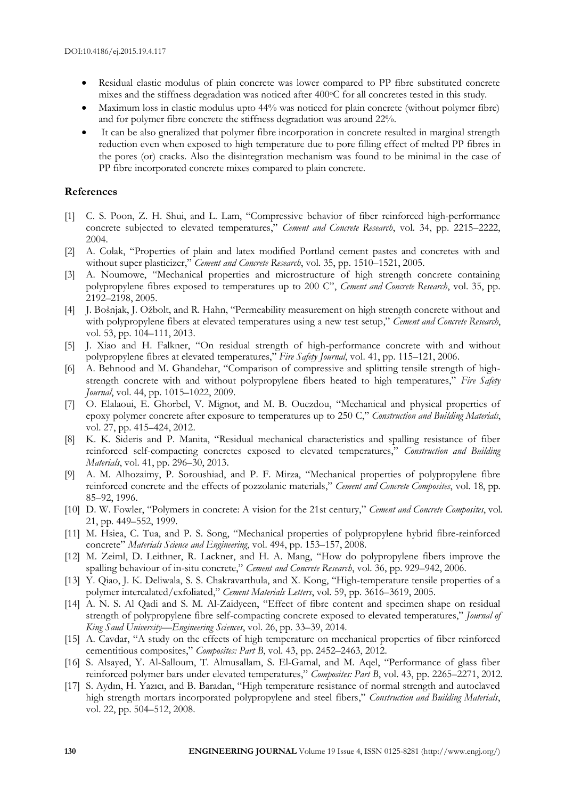- Residual elastic modulus of plain concrete was lower compared to PP fibre substituted concrete mixes and the stiffness degradation was noticed after 400°C for all concretes tested in this study.
- Maximum loss in elastic modulus upto 44% was noticed for plain concrete (without polymer fibre) and for polymer fibre concrete the stiffness degradation was around 22%.
- It can be also gneralized that polymer fibre incorporation in concrete resulted in marginal strength reduction even when exposed to high temperature due to pore filling effect of melted PP fibres in the pores (or) cracks. Also the disintegration mechanism was found to be minimal in the case of PP fibre incorporated concrete mixes compared to plain concrete.

#### **References**

- [1] C. S. Poon, Z. H. Shui, and L. Lam, "Compressive behavior of fiber reinforced high-performance concrete subjected to elevated temperatures," *Cement and Concrete Research*, vol. 34, pp. 2215–2222, 2004.
- [2] A. Colak, "Properties of plain and latex modified Portland cement pastes and concretes with and without super plasticizer," *Cement and Concrete Research*, vol. 35, pp. 1510–1521, 2005.
- [3] A. Noumowe, "Mechanical properties and microstructure of high strength concrete containing polypropylene fibres exposed to temperatures up to 200 C", *Cement and Concrete Research*, vol. 35, pp. 2192–2198, 2005.
- [4] J. Bošnjak, J. Ožbolt, and R. Hahn, "Permeability measurement on high strength concrete without and with polypropylene fibers at elevated temperatures using a new test setup," *Cement and Concrete Research*, vol. 53, pp. 104–111, 2013.
- [5] J. Xiao and H. Falkner, "On residual strength of high-performance concrete with and without polypropylene fibres at elevated temperatures," *Fire Safety Journal*, vol. 41, pp. 115–121, 2006.
- [6] A. Behnood and M. Ghandehar, "Comparison of compressive and splitting tensile strength of highstrength concrete with and without polypropylene fibers heated to high temperatures," *Fire Safety Journal*, vol. 44, pp. 1015–1022, 2009.
- [7] O. Elalaoui, E. Ghorbel, V. Mignot, and M. B. Ouezdou, "Mechanical and physical properties of epoxy polymer concrete after exposure to temperatures up to 250 C," *Construction and Building Materials*, vol. 27, pp. 415–424, 2012.
- [8] K. K. Sideris and P. Manita, "Residual mechanical characteristics and spalling resistance of fiber reinforced self-compacting concretes exposed to elevated temperatures," *Construction and Building Materials*, vol. 41, pp. 296–30, 2013.
- [9] A. M. Alhozaimy, P. Soroushiad, and P. F. Mirza, "Mechanical properties of polypropylene fibre reinforced concrete and the effects of pozzolanic materials," *Cement and Concrete Composites*, vol. 18, pp. 85–92, 1996.
- [10] D. W. Fowler, "Polymers in concrete: A vision for the 21st century," *Cement and Concrete Composites*, vol. 21, pp. 449–552, 1999.
- [11] M. Hsiea, C. Tua, and P. S. Song, "Mechanical properties of polypropylene hybrid fibre-reinforced concrete" *Materials Science and Engineering*, vol. 494, pp. 153–157, 2008.
- [12] M. Zeiml, D. Leithner, R. Lackner, and H. A. Mang, "How do polypropylene fibers improve the spalling behaviour of in-situ concrete," *Cement and Concrete Research*, vol. 36, pp. 929–942, 2006.
- [13] Y. Qiao, J. K. Deliwala, S. S. Chakravarthula, and X. Kong, "High-temperature tensile properties of a polymer intercalated/exfoliated," *Cement Materials Letters*, vol. 59, pp. 3616–3619, 2005.
- [14] A. N. S. Al Qadi and S. M. Al-Zaidyeen, "Effect of fibre content and specimen shape on residual strength of polypropylene fibre self-compacting concrete exposed to elevated temperatures," *Journal of King Saud University—Engineering Sciences*, vol. 26, pp. 33–39, 2014.
- [15] A. Cavdar, "A study on the effects of high temperature on mechanical properties of fiber reinforced cementitious composites," *Composites: Part B*, vol. 43, pp. 2452–2463, 2012.
- [16] S. Alsayed, Y. Al-Salloum, T. Almusallam, S. El-Gamal, and M. Aqel, "Performance of glass fiber reinforced polymer bars under elevated temperatures," *Composites: Part B*, vol. 43, pp. 2265–2271, 2012.
- [17] S. Aydın, H. Yazıcı, and B. Baradan, "High temperature resistance of normal strength and autoclaved high strength mortars incorporated polypropylene and steel fibers," *Construction and Building Materials*, vol. 22, pp. 504–512, 2008.